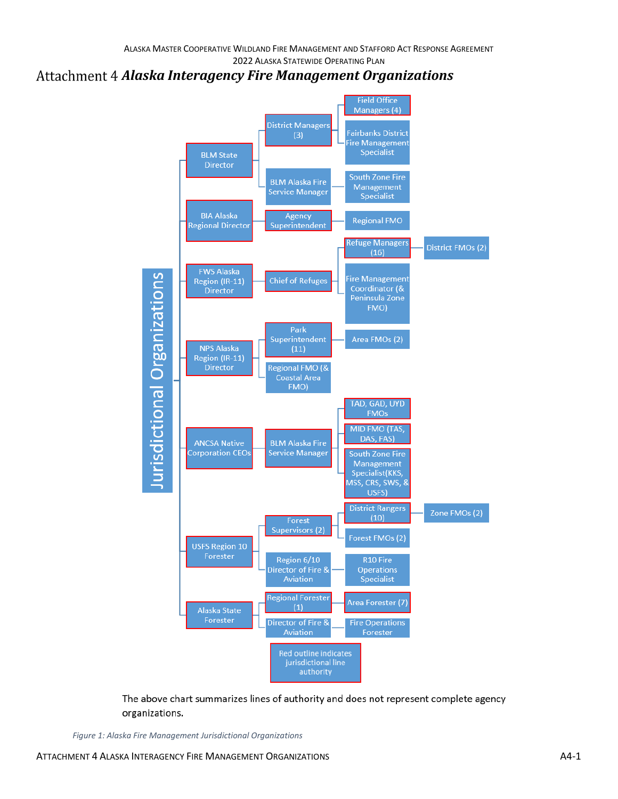## *Alaska Interagency Fire Management Organizations*



The above chart summarizes lines of authority and does not represent complete agency organizations.

*Figure 1: Alaska Fire Management Jurisdictional Organizations*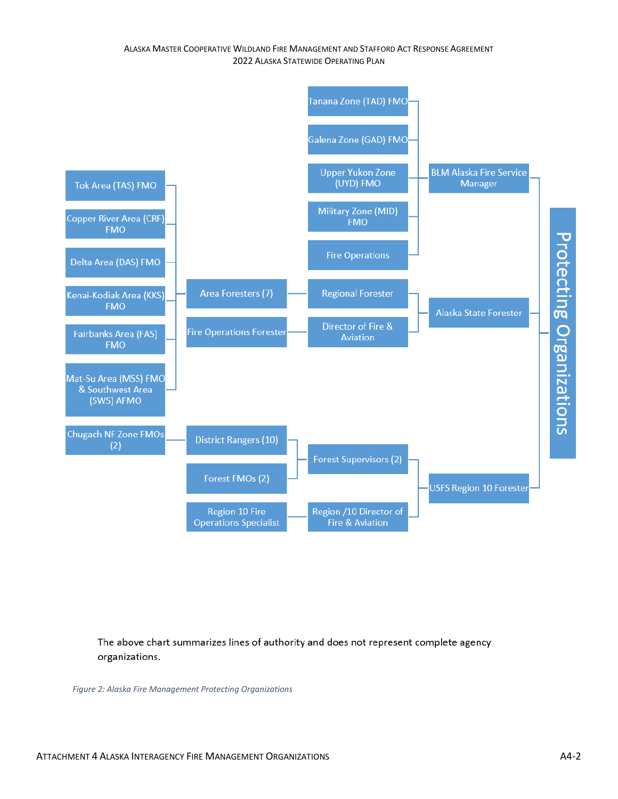## ALASKA MASTER COOPERATIVE WILDLAND FIRE MANAGEMENT AND STAFFORD ACT RESPONSE AGREEMENT 2022 ALASKA STATEWIDE OPERATING PLAN



The above chart summarizes lines of authority and does not represent complete agency organizations.

*Figure 2: Alaska Fire Management Protecting Organizations*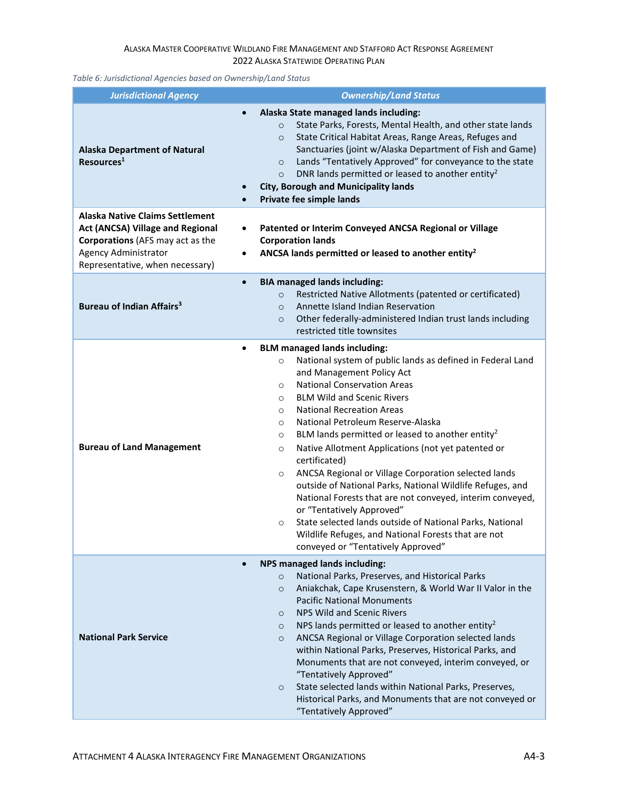## ALASKA MASTER COOPERATIVE WILDLAND FIRE MANAGEMENT AND STAFFORD ACT RESPONSE AGREEMENT 2022 ALASKA STATEWIDE OPERATING PLAN

*Table 6: Jurisdictional Agencies based on Ownership/Land Status*

| <b>Jurisdictional Agency</b>                                                                                                                                                                                     | <b>Ownership/Land Status</b>                                                                                                                                                                                                                                                                                                                                                                                                                                                                                                                                                                                                                                                                                                                                                                                                                                                                         |
|------------------------------------------------------------------------------------------------------------------------------------------------------------------------------------------------------------------|------------------------------------------------------------------------------------------------------------------------------------------------------------------------------------------------------------------------------------------------------------------------------------------------------------------------------------------------------------------------------------------------------------------------------------------------------------------------------------------------------------------------------------------------------------------------------------------------------------------------------------------------------------------------------------------------------------------------------------------------------------------------------------------------------------------------------------------------------------------------------------------------------|
| $\bullet$<br><b>Alaska Department of Natural</b><br>Resources <sup>1</sup>                                                                                                                                       | Alaska State managed lands including:<br>State Parks, Forests, Mental Health, and other state lands<br>$\circ$<br>State Critical Habitat Areas, Range Areas, Refuges and<br>$\circ$<br>Sanctuaries (joint w/Alaska Department of Fish and Game)<br>Lands "Tentatively Approved" for conveyance to the state<br>$\circ$<br>DNR lands permitted or leased to another entity <sup>2</sup><br>$\circ$<br><b>City, Borough and Municipality lands</b><br>Private fee simple lands                                                                                                                                                                                                                                                                                                                                                                                                                         |
| <b>Alaska Native Claims Settlement</b><br><b>Act (ANCSA) Village and Regional</b><br>٠<br><b>Corporations</b> (AFS may act as the<br><b>Agency Administrator</b><br>$\bullet$<br>Representative, when necessary) | Patented or Interim Conveyed ANCSA Regional or Village<br><b>Corporation lands</b><br>ANCSA lands permitted or leased to another entity <sup>2</sup>                                                                                                                                                                                                                                                                                                                                                                                                                                                                                                                                                                                                                                                                                                                                                 |
| $\bullet$<br>Bureau of Indian Affairs <sup>3</sup>                                                                                                                                                               | <b>BIA managed lands including:</b><br>Restricted Native Allotments (patented or certificated)<br>$\circ$<br>Annette Island Indian Reservation<br>$\circ$<br>Other federally-administered Indian trust lands including<br>$\circ$<br>restricted title townsites                                                                                                                                                                                                                                                                                                                                                                                                                                                                                                                                                                                                                                      |
| $\bullet$<br><b>Bureau of Land Management</b>                                                                                                                                                                    | <b>BLM managed lands including:</b><br>National system of public lands as defined in Federal Land<br>$\circ$<br>and Management Policy Act<br><b>National Conservation Areas</b><br>$\circ$<br><b>BLM Wild and Scenic Rivers</b><br>$\circ$<br><b>National Recreation Areas</b><br>$\circ$<br>National Petroleum Reserve-Alaska<br>$\circ$<br>BLM lands permitted or leased to another entity <sup>2</sup><br>$\circ$<br>Native Allotment Applications (not yet patented or<br>$\circ$<br>certificated)<br>ANCSA Regional or Village Corporation selected lands<br>$\circ$<br>outside of National Parks, National Wildlife Refuges, and<br>National Forests that are not conveyed, interim conveyed,<br>or "Tentatively Approved"<br>State selected lands outside of National Parks, National<br>$\circ$<br>Wildlife Refuges, and National Forests that are not<br>conveyed or "Tentatively Approved" |
| <b>National Park Service</b>                                                                                                                                                                                     | <b>NPS managed lands including:</b><br>National Parks, Preserves, and Historical Parks<br>$\circ$<br>Aniakchak, Cape Krusenstern, & World War II Valor in the<br>$\circ$<br><b>Pacific National Monuments</b><br>NPS Wild and Scenic Rivers<br>$\circ$<br>NPS lands permitted or leased to another entity <sup>2</sup><br>$\circ$<br>ANCSA Regional or Village Corporation selected lands<br>$\circ$<br>within National Parks, Preserves, Historical Parks, and<br>Monuments that are not conveyed, interim conveyed, or<br>"Tentatively Approved"<br>State selected lands within National Parks, Preserves,<br>$\circ$<br>Historical Parks, and Monuments that are not conveyed or<br>"Tentatively Approved"                                                                                                                                                                                        |